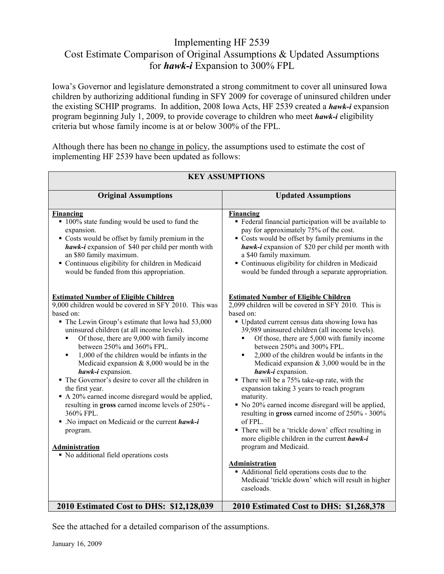## Implementing HF 2539 Cost Estimate Comparison of Original Assumptions & Updated Assumptions for *hawk-i* Expansion to 300% FPL

Iowa's Governor and legislature demonstrated a strong commitment to cover all uninsured Iowa children by authorizing additional funding in SFY 2009 for coverage of uninsured children under the existing SCHIP programs. In addition, 2008 Iowa Acts, HF 2539 created a *hawk-i* expansion program beginning July 1, 2009, to provide coverage to children who meet *hawk-i* eligibility criteria but whose family income is at or below 300% of the FPL.

Although there has been no change in policy, the assumptions used to estimate the cost of implementing HF 2539 have been updated as follows:

| <b>KEY ASSUMPTIONS</b>                                                                                                                                                                                                                                                                                                                                                                                                                                                                                                                                                                                                                                                                                                                                                                   |                                                                                                                                                                                                                                                                                                                                                                                                                                                                                                                                                                                                                                                                                                                                                                                                                                                                                                                                               |
|------------------------------------------------------------------------------------------------------------------------------------------------------------------------------------------------------------------------------------------------------------------------------------------------------------------------------------------------------------------------------------------------------------------------------------------------------------------------------------------------------------------------------------------------------------------------------------------------------------------------------------------------------------------------------------------------------------------------------------------------------------------------------------------|-----------------------------------------------------------------------------------------------------------------------------------------------------------------------------------------------------------------------------------------------------------------------------------------------------------------------------------------------------------------------------------------------------------------------------------------------------------------------------------------------------------------------------------------------------------------------------------------------------------------------------------------------------------------------------------------------------------------------------------------------------------------------------------------------------------------------------------------------------------------------------------------------------------------------------------------------|
| <b>Original Assumptions</b>                                                                                                                                                                                                                                                                                                                                                                                                                                                                                                                                                                                                                                                                                                                                                              | <b>Updated Assumptions</b>                                                                                                                                                                                                                                                                                                                                                                                                                                                                                                                                                                                                                                                                                                                                                                                                                                                                                                                    |
| <b>Financing</b><br>• 100% state funding would be used to fund the<br>expansion.<br>Costs would be offset by family premium in the<br>hawk-i expansion of \$40 per child per month with<br>an \$80 family maximum.<br>• Continuous eligibility for children in Medicaid<br>would be funded from this appropriation.                                                                                                                                                                                                                                                                                                                                                                                                                                                                      | <b>Financing</b><br>• Federal financial participation will be available to<br>pay for approximately 75% of the cost.<br>• Costs would be offset by family premiums in the<br>hawk-i expansion of \$20 per child per month with<br>a \$40 family maximum.<br>• Continuous eligibility for children in Medicaid<br>would be funded through a separate appropriation.                                                                                                                                                                                                                                                                                                                                                                                                                                                                                                                                                                            |
| <b>Estimated Number of Eligible Children</b><br>9,000 children would be covered in SFY 2010. This was<br>based on:<br>• The Lewin Group's estimate that Iowa had 53,000<br>uninsured children (at all income levels).<br>Of those, there are 9,000 with family income<br>$\blacksquare$<br>between 250% and 360% FPL.<br>1,000 of the children would be infants in the<br>٠<br>Medicaid expansion $& 8,000$ would be in the<br>hawk-i expansion.<br>• The Governor's desire to cover all the children in<br>the first year.<br>A 20% earned income disregard would be applied,<br>resulting in gross earned income levels of 250% -<br>360% FPL.<br>$\blacksquare$ . No impact on Medicaid or the current hawk-i<br>program.<br>Administration<br>• No additional field operations costs | <b>Estimated Number of Eligible Children</b><br>$2,099$ children will be covered in SFY 2010. This is<br>based on:<br>• Updated current census data showing Iowa has<br>39,989 uninsured children (all income levels).<br>Of those, there are 5,000 with family income<br>٠<br>between 250% and 300% FPL.<br>2,000 of the children would be infants in the<br>Medicaid expansion $& 3,000$ would be in the<br>hawk-i expansion.<br>• There will be a 75% take-up rate, with the<br>expansion taking 3 years to reach program<br>maturity.<br>• No 20% earned income disregard will be applied,<br>resulting in gross earned income of 250% - 300%<br>of FPL.<br>• There will be a 'trickle down' effect resulting in<br>more eligible children in the current hawk-i<br>program and Medicaid.<br><b>Administration</b><br>• Additional field operations costs due to the<br>Medicaid 'trickle down' which will result in higher<br>caseloads. |
| 2010 Estimated Cost to DHS: \$12,128,039                                                                                                                                                                                                                                                                                                                                                                                                                                                                                                                                                                                                                                                                                                                                                 | 2010 Estimated Cost to DHS: \$1,268,378                                                                                                                                                                                                                                                                                                                                                                                                                                                                                                                                                                                                                                                                                                                                                                                                                                                                                                       |

See the attached for a detailed comparison of the assumptions.